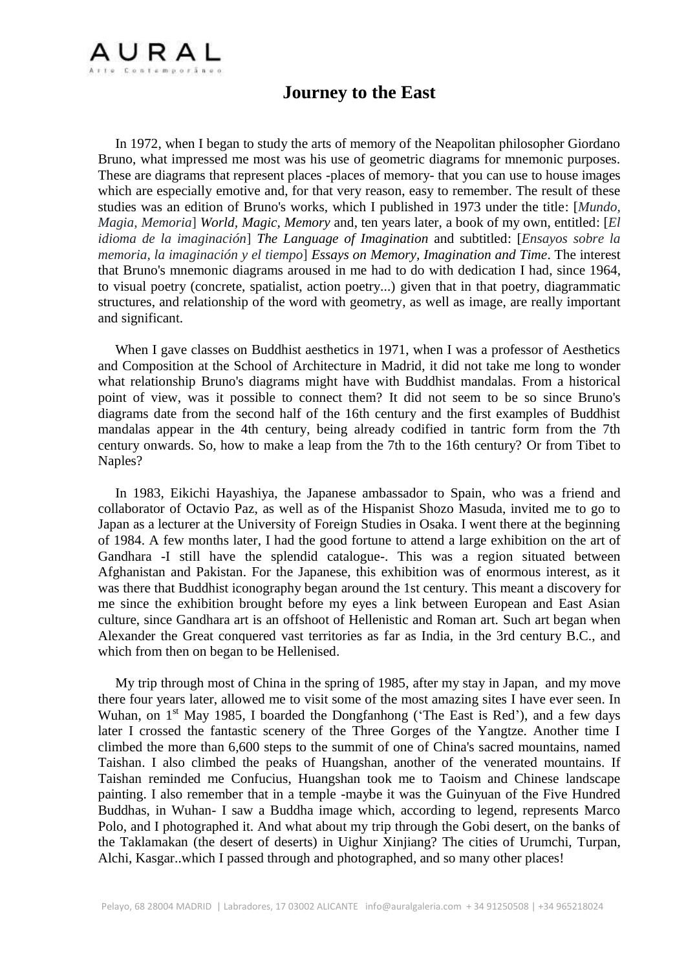

## **Journey to the East**

 In 1972, when I began to study the arts of memory of the Neapolitan philosopher Giordano Bruno, what impressed me most was his use of geometric diagrams for mnemonic purposes. These are diagrams that represent places -places of memory- that you can use to house images which are especially emotive and, for that very reason, easy to remember. The result of these studies was an edition of Bruno's works, which I published in 1973 under the title: [*Mundo, Magia, Memoria*] *World, Magic, Memory* and, ten years later, a book of my own, entitled: [*El idioma de la imaginación*] *The Language of Imagination* and subtitled: [*Ensayos sobre la memoria, la imaginación y el tiempo*] *Essays on Memory, Imagination and Time*. The interest that Bruno's mnemonic diagrams aroused in me had to do with dedication I had, since 1964, to visual poetry (concrete, spatialist, action poetry...) given that in that poetry, diagrammatic structures, and relationship of the word with geometry, as well as image, are really important and significant.

 When I gave classes on Buddhist aesthetics in 1971, when I was a professor of Aesthetics and Composition at the School of Architecture in Madrid, it did not take me long to wonder what relationship Bruno's diagrams might have with Buddhist mandalas. From a historical point of view, was it possible to connect them? It did not seem to be so since Bruno's diagrams date from the second half of the 16th century and the first examples of Buddhist mandalas appear in the 4th century, being already codified in tantric form from the 7th century onwards. So, how to make a leap from the 7th to the 16th century? Or from Tibet to Naples?

 In 1983, Eikichi Hayashiya, the Japanese ambassador to Spain, who was a friend and collaborator of Octavio Paz, as well as of the Hispanist Shozo Masuda, invited me to go to Japan as a lecturer at the University of Foreign Studies in Osaka. I went there at the beginning of 1984. A few months later, I had the good fortune to attend a large exhibition on the art of Gandhara -I still have the splendid catalogue-. This was a region situated between Afghanistan and Pakistan. For the Japanese, this exhibition was of enormous interest, as it was there that Buddhist iconography began around the 1st century. This meant a discovery for me since the exhibition brought before my eyes a link between European and East Asian culture, since Gandhara art is an offshoot of Hellenistic and Roman art. Such art began when Alexander the Great conquered vast territories as far as India, in the 3rd century B.C., and which from then on began to be Hellenised.

 My trip through most of China in the spring of 1985, after my stay in Japan, and my move there four years later, allowed me to visit some of the most amazing sites I have ever seen. In Wuhan, on  $1<sup>st</sup>$  May 1985, I boarded the Dongfanhong ('The East is Red'), and a few days later I crossed the fantastic scenery of the Three Gorges of the Yangtze. Another time I climbed the more than 6,600 steps to the summit of one of China's sacred mountains, named Taishan. I also climbed the peaks of Huangshan, another of the venerated mountains. If Taishan reminded me Confucius, Huangshan took me to Taoism and Chinese landscape painting. I also remember that in a temple -maybe it was the Guinyuan of the Five Hundred Buddhas, in Wuhan- I saw a Buddha image which, according to legend, represents Marco Polo, and I photographed it. And what about my trip through the Gobi desert, on the banks of the Taklamakan (the desert of deserts) in Uighur Xinjiang? The cities of Urumchi, Turpan, Alchi, Kasgar..which I passed through and photographed, and so many other places!